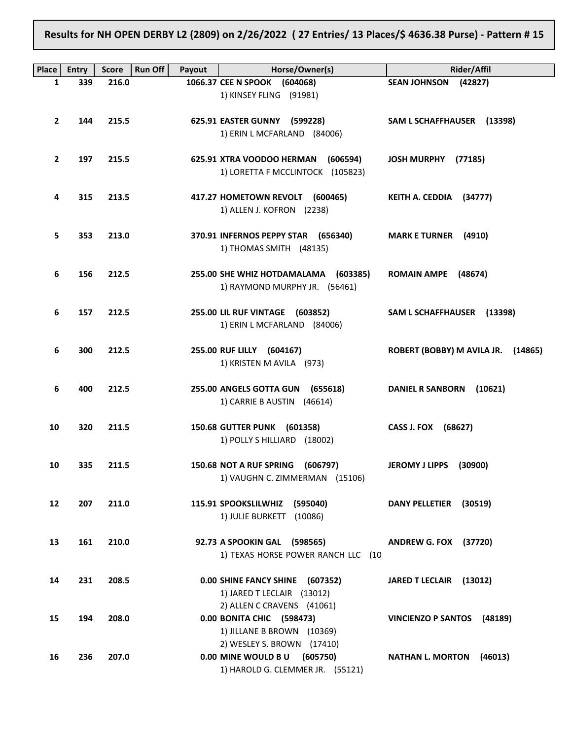Results for NH OPEN DERBY L2 (2809) on 2/26/2022 ( 27 Entries/ 13 Places/\$ 4636.38 Purse) - Pattern # 15

|              |              |              | Run Off |                                      |                                    |
|--------------|--------------|--------------|---------|--------------------------------------|------------------------------------|
| Place        | <b>Entry</b> | <b>Score</b> | Payout  | Horse/Owner(s)                       | <b>Rider/Affil</b>                 |
| 1            | 339          | 216.0        |         | 1066.37 CEE N SPOOK (604068)         | SEAN JOHNSON (42827)               |
|              |              |              |         | 1) KINSEY FLING (91981)              |                                    |
|              |              |              |         |                                      |                                    |
| $\mathbf{2}$ | 144          | 215.5        |         | 625.91 EASTER GUNNY (599228)         | SAM L SCHAFFHAUSER (13398)         |
|              |              |              |         | 1) ERIN L MCFARLAND (84006)          |                                    |
|              |              |              |         |                                      |                                    |
| $\mathbf{2}$ | 197          | 215.5        |         | 625.91 XTRA VOODOO HERMAN (606594)   | JOSH MURPHY (77185)                |
|              |              |              |         |                                      |                                    |
|              |              |              |         | 1) LORETTA F MCCLINTOCK (105823)     |                                    |
|              |              |              |         |                                      |                                    |
| 4            | 315          | 213.5        |         | 417.27 HOMETOWN REVOLT (600465)      | KEITH A. CEDDIA (34777)            |
|              |              |              |         | 1) ALLEN J. KOFRON (2238)            |                                    |
|              |              |              |         |                                      |                                    |
| 5.           | 353          | 213.0        |         | 370.91 INFERNOS PEPPY STAR (656340)  | <b>MARK E TURNER (4910)</b>        |
|              |              |              |         | 1) THOMAS SMITH (48135)              |                                    |
|              |              |              |         |                                      |                                    |
|              |              |              |         |                                      |                                    |
| 6            | 156          | 212.5        |         | 255.00 SHE WHIZ HOTDAMALAMA (603385) | ROMAIN AMPE (48674)                |
|              |              |              |         | 1) RAYMOND MURPHY JR. (56461)        |                                    |
|              |              |              |         |                                      |                                    |
| 6            | 157          | 212.5        |         | 255.00 LIL RUF VINTAGE (603852)      | SAM L SCHAFFHAUSER (13398)         |
|              |              |              |         | 1) ERIN L MCFARLAND (84006)          |                                    |
|              |              |              |         |                                      |                                    |
| 6            | 300          | 212.5        |         | 255.00 RUF LILLY (604167)            | ROBERT (BOBBY) M AVILA JR. (14865) |
|              |              |              |         |                                      |                                    |
|              |              |              |         | 1) KRISTEN M AVILA (973)             |                                    |
|              |              |              |         |                                      |                                    |
| 6            | 400          | 212.5        |         | 255.00 ANGELS GOTTA GUN (655618)     | DANIEL R SANBORN (10621)           |
|              |              |              |         | 1) CARRIE B AUSTIN (46614)           |                                    |
|              |              |              |         |                                      |                                    |
| 10           | 320          | 211.5        |         | 150.68 GUTTER PUNK (601358)          | CASS J. FOX (68627)                |
|              |              |              |         | 1) POLLY S HILLIARD (18002)          |                                    |
|              |              |              |         |                                      |                                    |
|              |              |              |         |                                      |                                    |
| 10           | 335          | 211.5        |         | 150.68 NOT A RUF SPRING (606797)     | JEROMY J LIPPS (30900)             |
|              |              |              |         | 1) VAUGHN C. ZIMMERMAN (15106)       |                                    |
|              |              |              |         |                                      |                                    |
| 12           | 207          | 211.0        |         | 115.91 SPOOKSLILWHIZ<br>(595040)     | <b>DANY PELLETIER</b><br>(30519)   |
|              |              |              |         | 1) JULIE BURKETT (10086)             |                                    |
|              |              |              |         |                                      |                                    |
| 13           | 161          | 210.0        |         | 92.73 A SPOOKIN GAL (598565)         | <b>ANDREW G. FOX (37720)</b>       |
|              |              |              |         | 1) TEXAS HORSE POWER RANCH LLC (10   |                                    |
|              |              |              |         |                                      |                                    |
|              |              |              |         |                                      |                                    |
| 14           | 231          | 208.5        |         | 0.00 SHINE FANCY SHINE (607352)      | JARED T LECLAIR (13012)            |
|              |              |              |         | 1) JARED T LECLAIR (13012)           |                                    |
|              |              |              |         | 2) ALLEN C CRAVENS (41061)           |                                    |
| 15           | 194          | 208.0        |         | 0.00 BONITA CHIC (598473)            | VINCIENZO P SANTOS (48189)         |
|              |              |              |         | 1) JILLANE B BROWN (10369)           |                                    |
|              |              |              |         | 2) WESLEY S. BROWN (17410)           |                                    |
|              |              |              |         |                                      |                                    |
| 16           | 236          | 207.0        |         | 0.00 MINE WOULD B U (605750)         | <b>NATHAN L. MORTON</b><br>(46013) |
|              |              |              |         | 1) HAROLD G. CLEMMER JR. (55121)     |                                    |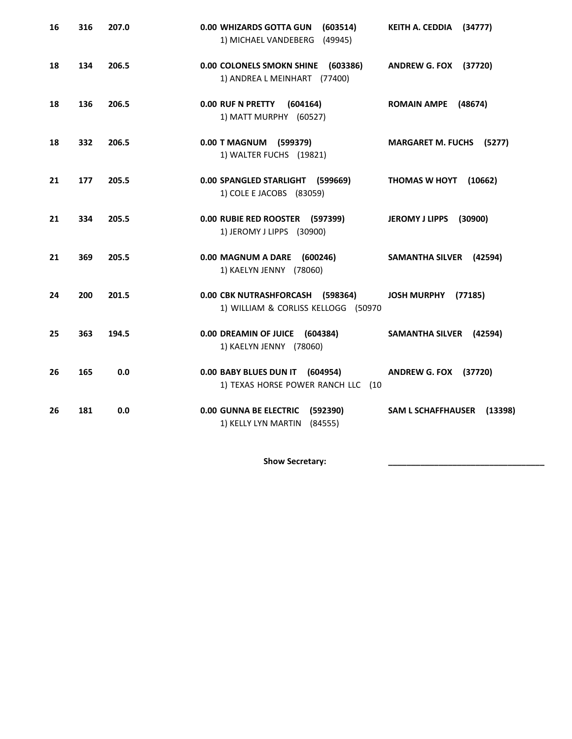| 16 | 316 | 207.0 | 0.00 WHIZARDS GOTTA GUN<br>(603514)<br>1) MICHAEL VANDEBERG (49945)         | KEITH A. CEDDIA<br>(34777)           |
|----|-----|-------|-----------------------------------------------------------------------------|--------------------------------------|
| 18 | 134 | 206.5 | 0.00 COLONELS SMOKN SHINE (603386)<br>1) ANDREA L MEINHART (77400)          | <b>ANDREW G. FOX (37720)</b>         |
| 18 | 136 | 206.5 | 0.00 RUF N PRETTY<br>(604164)<br>1) MATT MURPHY (60527)                     | <b>ROMAIN AMPE</b><br>(48674)        |
| 18 | 332 | 206.5 | 0.00 T MAGNUM (599379)<br>1) WALTER FUCHS (19821)                           | <b>MARGARET M. FUCHS</b><br>(5277)   |
| 21 | 177 | 205.5 | 0.00 SPANGLED STARLIGHT (599669)<br>1) COLE E JACOBS (83059)                | THOMAS W HOYT<br>(10662)             |
| 21 | 334 | 205.5 | 0.00 RUBIE RED ROOSTER (597399)<br>1) JEROMY J LIPPS (30900)                | (30900)<br><b>JEROMY J LIPPS</b>     |
| 21 | 369 | 205.5 | 0.00 MAGNUM A DARE (600246)<br>1) KAELYN JENNY (78060)                      | SAMANTHA SILVER (42594)              |
| 24 | 200 | 201.5 | 0.00 CBK NUTRASHFORCASH (598364)<br>1) WILLIAM & CORLISS KELLOGG (50970     | <b>JOSH MURPHY</b><br>(77185)        |
| 25 | 363 | 194.5 | 0.00 DREAMIN OF JUICE (604384)<br>1) KAELYN JENNY (78060)                   | SAMANTHA SILVER (42594)              |
| 26 | 165 | 0.0   | 0.00 BABY BLUES DUN IT (604954)<br>1) TEXAS HORSE POWER RANCH LLC (10       | <b>ANDREW G. FOX (37720)</b>         |
| 26 | 181 | 0.0   | <b>0.00 GUNNA BE ELECTRIC</b><br>(592390)<br>1) KELLY LYN MARTIN<br>(84555) | <b>SAM L SCHAFFHAUSER</b><br>(13398) |

Show Secretary: